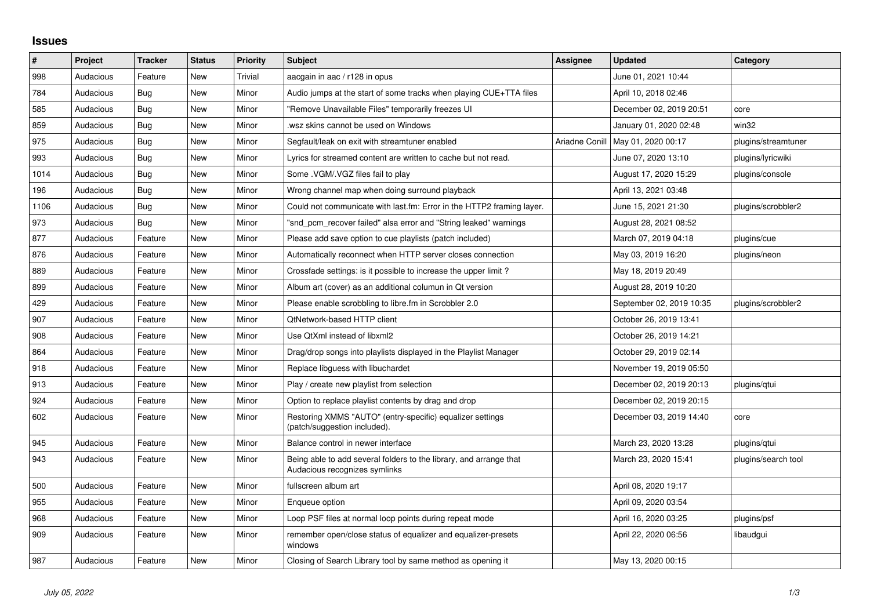## **Issues**

| $\sharp$ | Project   | <b>Tracker</b> | <b>Status</b> | <b>Priority</b> | <b>Subject</b>                                                                                      | Assignee       | <b>Updated</b>           | Category            |
|----------|-----------|----------------|---------------|-----------------|-----------------------------------------------------------------------------------------------------|----------------|--------------------------|---------------------|
| 998      | Audacious | Feature        | <b>New</b>    | <b>Trivial</b>  | aacgain in aac / r128 in opus                                                                       |                | June 01, 2021 10:44      |                     |
| 784      | Audacious | Bug            | <b>New</b>    | Minor           | Audio jumps at the start of some tracks when playing CUE+TTA files                                  |                | April 10, 2018 02:46     |                     |
| 585      | Audacious | Bug            | <b>New</b>    | Minor           | "Remove Unavailable Files" temporarily freezes UI                                                   |                | December 02, 2019 20:51  | core                |
| 859      | Audacious | Bug            | <b>New</b>    | Minor           | wsz skins cannot be used on Windows.                                                                |                | January 01, 2020 02:48   | win32               |
| 975      | Audacious | Bug            | <b>New</b>    | Minor           | Segfault/leak on exit with streamtuner enabled                                                      | Ariadne Conill | May 01, 2020 00:17       | plugins/streamtuner |
| 993      | Audacious | Bug            | <b>New</b>    | Minor           | Lyrics for streamed content are written to cache but not read.                                      |                | June 07, 2020 13:10      | plugins/lyricwiki   |
| 1014     | Audacious | Bug            | <b>New</b>    | Minor           | Some .VGM/.VGZ files fail to play                                                                   |                | August 17, 2020 15:29    | plugins/console     |
| 196      | Audacious | Bug            | <b>New</b>    | Minor           | Wrong channel map when doing surround playback                                                      |                | April 13, 2021 03:48     |                     |
| 1106     | Audacious | Bug            | New           | Minor           | Could not communicate with last.fm: Error in the HTTP2 framing layer.                               |                | June 15, 2021 21:30      | plugins/scrobbler2  |
| 973      | Audacious | Bug            | <b>New</b>    | Minor           | "snd_pcm_recover failed" alsa error and "String leaked" warnings                                    |                | August 28, 2021 08:52    |                     |
| 877      | Audacious | Feature        | <b>New</b>    | Minor           | Please add save option to cue playlists (patch included)                                            |                | March 07, 2019 04:18     | plugins/cue         |
| 876      | Audacious | Feature        | <b>New</b>    | Minor           | Automatically reconnect when HTTP server closes connection                                          |                | May 03, 2019 16:20       | plugins/neon        |
| 889      | Audacious | Feature        | <b>New</b>    | Minor           | Crossfade settings: is it possible to increase the upper limit?                                     |                | May 18, 2019 20:49       |                     |
| 899      | Audacious | Feature        | <b>New</b>    | Minor           | Album art (cover) as an additional columun in Qt version                                            |                | August 28, 2019 10:20    |                     |
| 429      | Audacious | Feature        | <b>New</b>    | Minor           | Please enable scrobbling to libre.fm in Scrobbler 2.0                                               |                | September 02, 2019 10:35 | plugins/scrobbler2  |
| 907      | Audacious | Feature        | <b>New</b>    | Minor           | QtNetwork-based HTTP client                                                                         |                | October 26, 2019 13:41   |                     |
| 908      | Audacious | Feature        | <b>New</b>    | Minor           | Use QtXml instead of libxml2                                                                        |                | October 26, 2019 14:21   |                     |
| 864      | Audacious | Feature        | <b>New</b>    | Minor           | Drag/drop songs into playlists displayed in the Playlist Manager                                    |                | October 29, 2019 02:14   |                     |
| 918      | Audacious | Feature        | <b>New</b>    | Minor           | Replace libguess with libuchardet                                                                   |                | November 19, 2019 05:50  |                     |
| 913      | Audacious | Feature        | <b>New</b>    | Minor           | Play / create new playlist from selection                                                           |                | December 02, 2019 20:13  | plugins/qtui        |
| 924      | Audacious | Feature        | <b>New</b>    | Minor           | Option to replace playlist contents by drag and drop                                                |                | December 02, 2019 20:15  |                     |
| 602      | Audacious | Feature        | <b>New</b>    | Minor           | Restoring XMMS "AUTO" (entry-specific) equalizer settings<br>(patch/suggestion included).           |                | December 03, 2019 14:40  | core                |
| 945      | Audacious | Feature        | <b>New</b>    | Minor           | Balance control in newer interface                                                                  |                | March 23, 2020 13:28     | plugins/gtui        |
| 943      | Audacious | Feature        | New           | Minor           | Being able to add several folders to the library, and arrange that<br>Audacious recognizes symlinks |                | March 23, 2020 15:41     | plugins/search tool |
| 500      | Audacious | Feature        | <b>New</b>    | Minor           | fullscreen album art                                                                                |                | April 08, 2020 19:17     |                     |
| 955      | Audacious | Feature        | <b>New</b>    | Minor           | Enqueue option                                                                                      |                | April 09, 2020 03:54     |                     |
| 968      | Audacious | Feature        | <b>New</b>    | Minor           | Loop PSF files at normal loop points during repeat mode                                             |                | April 16, 2020 03:25     | plugins/psf         |
| 909      | Audacious | Feature        | <b>New</b>    | Minor           | remember open/close status of equalizer and equalizer-presets<br>windows                            |                | April 22, 2020 06:56     | libaudgui           |
| 987      | Audacious | Feature        | <b>New</b>    | Minor           | Closing of Search Library tool by same method as opening it                                         |                | May 13, 2020 00:15       |                     |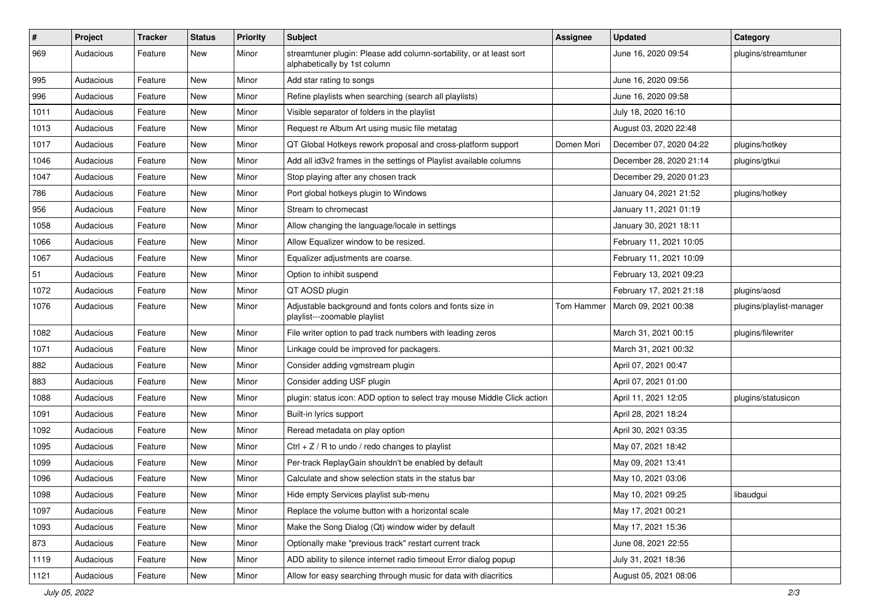| $\vert$ # | Project   | <b>Tracker</b> | <b>Status</b> | <b>Priority</b> | <b>Subject</b>                                                                                      | <b>Assignee</b> | <b>Updated</b>          | Category                 |
|-----------|-----------|----------------|---------------|-----------------|-----------------------------------------------------------------------------------------------------|-----------------|-------------------------|--------------------------|
| 969       | Audacious | Feature        | New           | Minor           | streamtuner plugin: Please add column-sortability, or at least sort<br>alphabetically by 1st column |                 | June 16, 2020 09:54     | plugins/streamtuner      |
| 995       | Audacious | Feature        | New           | Minor           | Add star rating to songs                                                                            |                 | June 16, 2020 09:56     |                          |
| 996       | Audacious | Feature        | New           | Minor           | Refine playlists when searching (search all playlists)                                              |                 | June 16, 2020 09:58     |                          |
| 1011      | Audacious | Feature        | New           | Minor           | Visible separator of folders in the playlist                                                        |                 | July 18, 2020 16:10     |                          |
| 1013      | Audacious | Feature        | New           | Minor           | Request re Album Art using music file metatag                                                       |                 | August 03, 2020 22:48   |                          |
| 1017      | Audacious | Feature        | New           | Minor           | QT Global Hotkeys rework proposal and cross-platform support                                        | Domen Mori      | December 07, 2020 04:22 | plugins/hotkey           |
| 1046      | Audacious | Feature        | New           | Minor           | Add all id3v2 frames in the settings of Playlist available columns                                  |                 | December 28, 2020 21:14 | plugins/gtkui            |
| 1047      | Audacious | Feature        | New           | Minor           | Stop playing after any chosen track                                                                 |                 | December 29, 2020 01:23 |                          |
| 786       | Audacious | Feature        | New           | Minor           | Port global hotkeys plugin to Windows                                                               |                 | January 04, 2021 21:52  | plugins/hotkey           |
| 956       | Audacious | Feature        | New           | Minor           | Stream to chromecast                                                                                |                 | January 11, 2021 01:19  |                          |
| 1058      | Audacious | Feature        | New           | Minor           | Allow changing the language/locale in settings                                                      |                 | January 30, 2021 18:11  |                          |
| 1066      | Audacious | Feature        | New           | Minor           | Allow Equalizer window to be resized.                                                               |                 | February 11, 2021 10:05 |                          |
| 1067      | Audacious | Feature        | New           | Minor           | Equalizer adjustments are coarse.                                                                   |                 | February 11, 2021 10:09 |                          |
| 51        | Audacious | Feature        | New           | Minor           | Option to inhibit suspend                                                                           |                 | February 13, 2021 09:23 |                          |
| 1072      | Audacious | Feature        | New           | Minor           | QT AOSD plugin                                                                                      |                 | February 17, 2021 21:18 | plugins/aosd             |
| 1076      | Audacious | Feature        | New           | Minor           | Adjustable background and fonts colors and fonts size in<br>playlist---zoomable playlist            | Tom Hammer      | March 09, 2021 00:38    | plugins/playlist-manager |
| 1082      | Audacious | Feature        | New           | Minor           | File writer option to pad track numbers with leading zeros                                          |                 | March 31, 2021 00:15    | plugins/filewriter       |
| 1071      | Audacious | Feature        | New           | Minor           | Linkage could be improved for packagers.                                                            |                 | March 31, 2021 00:32    |                          |
| 882       | Audacious | Feature        | New           | Minor           | Consider adding vgmstream plugin                                                                    |                 | April 07, 2021 00:47    |                          |
| 883       | Audacious | Feature        | New           | Minor           | Consider adding USF plugin                                                                          |                 | April 07, 2021 01:00    |                          |
| 1088      | Audacious | Feature        | New           | Minor           | plugin: status icon: ADD option to select tray mouse Middle Click action                            |                 | April 11, 2021 12:05    | plugins/statusicon       |
| 1091      | Audacious | Feature        | New           | Minor           | Built-in lyrics support                                                                             |                 | April 28, 2021 18:24    |                          |
| 1092      | Audacious | Feature        | New           | Minor           | Reread metadata on play option                                                                      |                 | April 30, 2021 03:35    |                          |
| 1095      | Audacious | Feature        | New           | Minor           | Ctrl $+$ Z / R to undo / redo changes to playlist                                                   |                 | May 07, 2021 18:42      |                          |
| 1099      | Audacious | Feature        | New           | Minor           | Per-track ReplayGain shouldn't be enabled by default                                                |                 | May 09, 2021 13:41      |                          |
| 1096      | Audacious | Feature        | New           | Minor           | Calculate and show selection stats in the status bar                                                |                 | May 10, 2021 03:06      |                          |
| 1098      | Audacious | Feature        | New           | Minor           | Hide empty Services playlist sub-menu                                                               |                 | May 10, 2021 09:25      | libaudgui                |
| 1097      | Audacious | Feature        | New           | Minor           | Replace the volume button with a horizontal scale                                                   |                 | May 17, 2021 00:21      |                          |
| 1093      | Audacious | Feature        | New           | Minor           | Make the Song Dialog (Qt) window wider by default                                                   |                 | May 17, 2021 15:36      |                          |
| 873       | Audacious | Feature        | New           | Minor           | Optionally make "previous track" restart current track                                              |                 | June 08, 2021 22:55     |                          |
| 1119      | Audacious | Feature        | New           | Minor           | ADD ability to silence internet radio timeout Error dialog popup                                    |                 | July 31, 2021 18:36     |                          |
| 1121      | Audacious | Feature        | New           | Minor           | Allow for easy searching through music for data with diacritics                                     |                 | August 05, 2021 08:06   |                          |